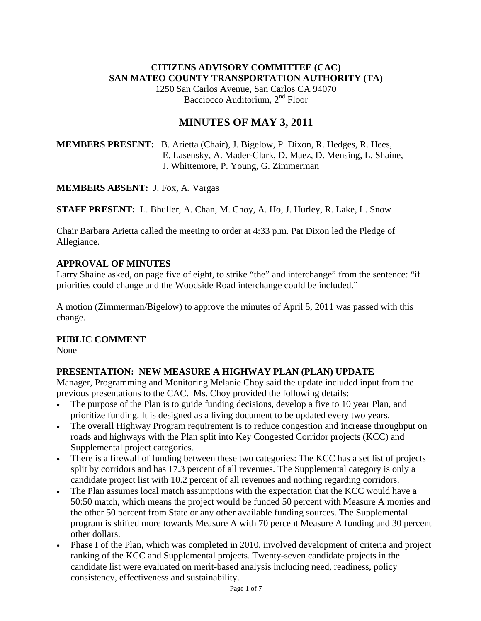## **CITIZENS ADVISORY COMMITTEE (CAC) SAN MATEO COUNTY TRANSPORTATION AUTHORITY (TA)**

1250 San Carlos Avenue, San Carlos CA 94070 Bacciocco Auditorium, 2<sup>nd</sup> Floor

# **MINUTES OF MAY 3, 2011**

## **MEMBERS PRESENT:** B. Arietta (Chair), J. Bigelow, P. Dixon, R. Hedges, R. Hees, E. Lasensky, A. Mader-Clark, D. Maez, D. Mensing, L. Shaine, J. Whittemore, P. Young, G. Zimmerman

**MEMBERS ABSENT:** J. Fox, A. Vargas

**STAFF PRESENT:** L. Bhuller, A. Chan, M. Choy, A. Ho, J. Hurley, R. Lake, L. Snow

Chair Barbara Arietta called the meeting to order at 4:33 p.m. Pat Dixon led the Pledge of Allegiance.

## **APPROVAL OF MINUTES**

Larry Shaine asked, on page five of eight, to strike "the" and interchange" from the sentence: "if priorities could change and the Woodside Road interchange could be included."

A motion (Zimmerman/Bigelow) to approve the minutes of April 5, 2011 was passed with this change.

## **PUBLIC COMMENT**

None

## **PRESENTATION: NEW MEASURE A HIGHWAY PLAN (PLAN) UPDATE**

Manager, Programming and Monitoring Melanie Choy said the update included input from the previous presentations to the CAC. Ms. Choy provided the following details:

- The purpose of the Plan is to guide funding decisions, develop a five to 10 year Plan, and prioritize funding. It is designed as a living document to be updated every two years.
- The overall Highway Program requirement is to reduce congestion and increase throughput on roads and highways with the Plan split into Key Congested Corridor projects (KCC) and Supplemental project categories.
- There is a firewall of funding between these two categories: The KCC has a set list of projects split by corridors and has 17.3 percent of all revenues. The Supplemental category is only a candidate project list with 10.2 percent of all revenues and nothing regarding corridors.
- The Plan assumes local match assumptions with the expectation that the KCC would have a 50:50 match, which means the project would be funded 50 percent with Measure A monies and the other 50 percent from State or any other available funding sources. The Supplemental program is shifted more towards Measure A with 70 percent Measure A funding and 30 percent other dollars.
- Phase I of the Plan, which was completed in 2010, involved development of criteria and project ranking of the KCC and Supplemental projects. Twenty-seven candidate projects in the candidate list were evaluated on merit-based analysis including need, readiness, policy consistency, effectiveness and sustainability.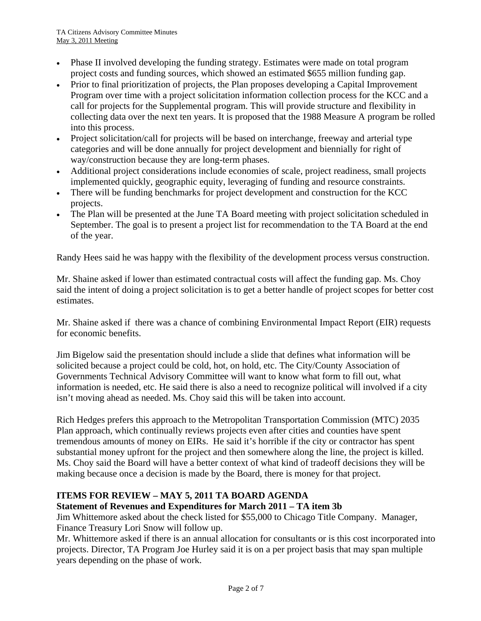- Phase II involved developing the funding strategy. Estimates were made on total program project costs and funding sources, which showed an estimated \$655 million funding gap.
- Prior to final prioritization of projects, the Plan proposes developing a Capital Improvement Program over time with a project solicitation information collection process for the KCC and a call for projects for the Supplemental program. This will provide structure and flexibility in collecting data over the next ten years. It is proposed that the 1988 Measure A program be rolled into this process.
- Project solicitation/call for projects will be based on interchange, freeway and arterial type categories and will be done annually for project development and biennially for right of way/construction because they are long-term phases.
- Additional project considerations include economies of scale, project readiness, small projects implemented quickly, geographic equity, leveraging of funding and resource constraints.
- There will be funding benchmarks for project development and construction for the KCC projects.
- The Plan will be presented at the June TA Board meeting with project solicitation scheduled in September. The goal is to present a project list for recommendation to the TA Board at the end of the year.

Randy Hees said he was happy with the flexibility of the development process versus construction.

Mr. Shaine asked if lower than estimated contractual costs will affect the funding gap. Ms. Choy said the intent of doing a project solicitation is to get a better handle of project scopes for better cost estimates.

Mr. Shaine asked if there was a chance of combining Environmental Impact Report (EIR) requests for economic benefits.

Jim Bigelow said the presentation should include a slide that defines what information will be solicited because a project could be cold, hot, on hold, etc. The City/County Association of Governments Technical Advisory Committee will want to know what form to fill out, what information is needed, etc. He said there is also a need to recognize political will involved if a city isn't moving ahead as needed. Ms. Choy said this will be taken into account.

Rich Hedges prefers this approach to the Metropolitan Transportation Commission (MTC) 2035 Plan approach, which continually reviews projects even after cities and counties have spent tremendous amounts of money on EIRs. He said it's horrible if the city or contractor has spent substantial money upfront for the project and then somewhere along the line, the project is killed. Ms. Choy said the Board will have a better context of what kind of tradeoff decisions they will be making because once a decision is made by the Board, there is money for that project.

## **ITEMS FOR REVIEW – MAY 5, 2011 TA BOARD AGENDA**

## **Statement of Revenues and Expenditures for March 2011 – TA item 3b**

Jim Whittemore asked about the check listed for \$55,000 to Chicago Title Company. Manager, Finance Treasury Lori Snow will follow up.

Mr. Whittemore asked if there is an annual allocation for consultants or is this cost incorporated into projects. Director, TA Program Joe Hurley said it is on a per project basis that may span multiple years depending on the phase of work.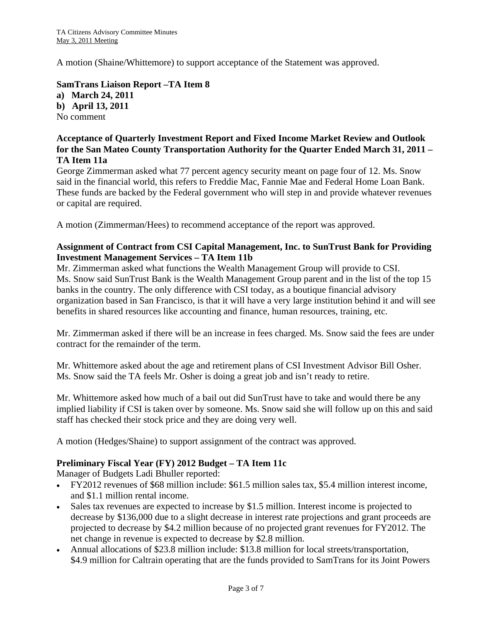A motion (Shaine/Whittemore) to support acceptance of the Statement was approved.

**SamTrans Liaison Report –TA Item 8 a) March 24, 2011 b) April 13, 2011**  No comment

#### **Acceptance of Quarterly Investment Report and Fixed Income Market Review and Outlook for the San Mateo County Transportation Authority for the Quarter Ended March 31, 2011 – TA Item 11a**

George Zimmerman asked what 77 percent agency security meant on page four of 12. Ms. Snow said in the financial world, this refers to Freddie Mac, Fannie Mae and Federal Home Loan Bank. These funds are backed by the Federal government who will step in and provide whatever revenues or capital are required.

A motion (Zimmerman/Hees) to recommend acceptance of the report was approved.

### **Assignment of Contract from CSI Capital Management, Inc. to SunTrust Bank for Providing Investment Management Services – TA Item 11b**

Mr. Zimmerman asked what functions the Wealth Management Group will provide to CSI. Ms. Snow said SunTrust Bank is the Wealth Management Group parent and in the list of the top 15 banks in the country. The only difference with CSI today, as a boutique financial advisory organization based in San Francisco, is that it will have a very large institution behind it and will see benefits in shared resources like accounting and finance, human resources, training, etc.

Mr. Zimmerman asked if there will be an increase in fees charged. Ms. Snow said the fees are under contract for the remainder of the term.

Mr. Whittemore asked about the age and retirement plans of CSI Investment Advisor Bill Osher. Ms. Snow said the TA feels Mr. Osher is doing a great job and isn't ready to retire.

Mr. Whittemore asked how much of a bail out did SunTrust have to take and would there be any implied liability if CSI is taken over by someone. Ms. Snow said she will follow up on this and said staff has checked their stock price and they are doing very well.

A motion (Hedges/Shaine) to support assignment of the contract was approved.

#### **Preliminary Fiscal Year (FY) 2012 Budget – TA Item 11c**

Manager of Budgets Ladi Bhuller reported:

- FY2012 revenues of \$68 million include: \$61.5 million sales tax, \$5.4 million interest income, and \$1.1 million rental income.
- Sales tax revenues are expected to increase by \$1.5 million. Interest income is projected to decrease by \$136,000 due to a slight decrease in interest rate projections and grant proceeds are projected to decrease by \$4.2 million because of no projected grant revenues for FY2012. The net change in revenue is expected to decrease by \$2.8 million.
- Annual allocations of \$23.8 million include: \$13.8 million for local streets/transportation, \$4.9 million for Caltrain operating that are the funds provided to SamTrans for its Joint Powers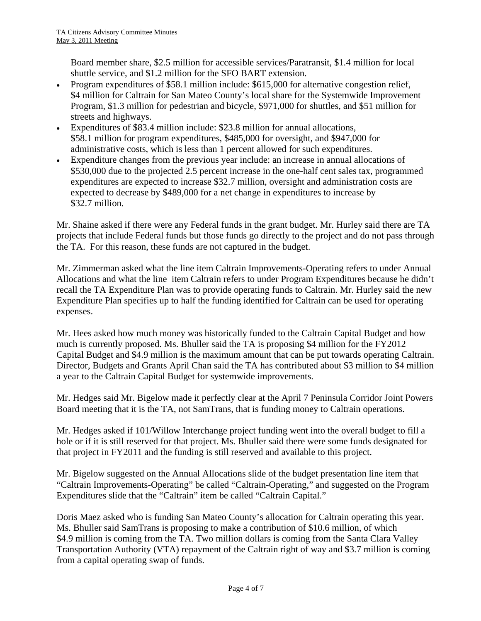Board member share, \$2.5 million for accessible services/Paratransit, \$1.4 million for local shuttle service, and \$1.2 million for the SFO BART extension.

- Program expenditures of \$58.1 million include: \$615,000 for alternative congestion relief, \$4 million for Caltrain for San Mateo County's local share for the Systemwide Improvement Program, \$1.3 million for pedestrian and bicycle, \$971,000 for shuttles, and \$51 million for streets and highways.
- Expenditures of \$83.4 million include: \$23.8 million for annual allocations, \$58.1 million for program expenditures, \$485,000 for oversight, and \$947,000 for administrative costs, which is less than 1 percent allowed for such expenditures.
- Expenditure changes from the previous year include: an increase in annual allocations of \$530,000 due to the projected 2.5 percent increase in the one-half cent sales tax, programmed expenditures are expected to increase \$32.7 million, oversight and administration costs are expected to decrease by \$489,000 for a net change in expenditures to increase by \$32.7 million.

Mr. Shaine asked if there were any Federal funds in the grant budget. Mr. Hurley said there are TA projects that include Federal funds but those funds go directly to the project and do not pass through the TA. For this reason, these funds are not captured in the budget.

Mr. Zimmerman asked what the line item Caltrain Improvements-Operating refers to under Annual Allocations and what the line item Caltrain refers to under Program Expenditures because he didn't recall the TA Expenditure Plan was to provide operating funds to Caltrain. Mr. Hurley said the new Expenditure Plan specifies up to half the funding identified for Caltrain can be used for operating expenses.

Mr. Hees asked how much money was historically funded to the Caltrain Capital Budget and how much is currently proposed. Ms. Bhuller said the TA is proposing \$4 million for the FY2012 Capital Budget and \$4.9 million is the maximum amount that can be put towards operating Caltrain. Director, Budgets and Grants April Chan said the TA has contributed about \$3 million to \$4 million a year to the Caltrain Capital Budget for systemwide improvements.

Mr. Hedges said Mr. Bigelow made it perfectly clear at the April 7 Peninsula Corridor Joint Powers Board meeting that it is the TA, not SamTrans, that is funding money to Caltrain operations.

Mr. Hedges asked if 101/Willow Interchange project funding went into the overall budget to fill a hole or if it is still reserved for that project. Ms. Bhuller said there were some funds designated for that project in FY2011 and the funding is still reserved and available to this project.

Mr. Bigelow suggested on the Annual Allocations slide of the budget presentation line item that "Caltrain Improvements-Operating" be called "Caltrain-Operating," and suggested on the Program Expenditures slide that the "Caltrain" item be called "Caltrain Capital."

Doris Maez asked who is funding San Mateo County's allocation for Caltrain operating this year. Ms. Bhuller said SamTrans is proposing to make a contribution of \$10.6 million, of which \$4.9 million is coming from the TA. Two million dollars is coming from the Santa Clara Valley Transportation Authority (VTA) repayment of the Caltrain right of way and \$3.7 million is coming from a capital operating swap of funds.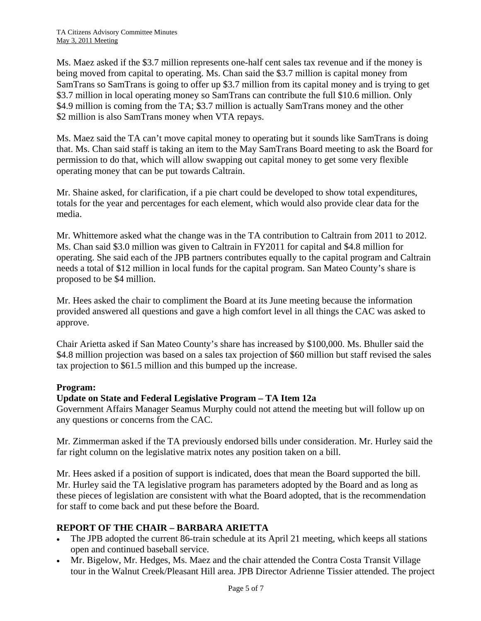Ms. Maez asked if the \$3.7 million represents one-half cent sales tax revenue and if the money is being moved from capital to operating. Ms. Chan said the \$3.7 million is capital money from SamTrans so SamTrans is going to offer up \$3.7 million from its capital money and is trying to get \$3.7 million in local operating money so SamTrans can contribute the full \$10.6 million. Only \$4.9 million is coming from the TA; \$3.7 million is actually SamTrans money and the other \$2 million is also SamTrans money when VTA repays.

Ms. Maez said the TA can't move capital money to operating but it sounds like SamTrans is doing that. Ms. Chan said staff is taking an item to the May SamTrans Board meeting to ask the Board for permission to do that, which will allow swapping out capital money to get some very flexible operating money that can be put towards Caltrain.

Mr. Shaine asked, for clarification, if a pie chart could be developed to show total expenditures, totals for the year and percentages for each element, which would also provide clear data for the media.

Mr. Whittemore asked what the change was in the TA contribution to Caltrain from 2011 to 2012. Ms. Chan said \$3.0 million was given to Caltrain in FY2011 for capital and \$4.8 million for operating. She said each of the JPB partners contributes equally to the capital program and Caltrain needs a total of \$12 million in local funds for the capital program. San Mateo County's share is proposed to be \$4 million.

Mr. Hees asked the chair to compliment the Board at its June meeting because the information provided answered all questions and gave a high comfort level in all things the CAC was asked to approve.

Chair Arietta asked if San Mateo County's share has increased by \$100,000. Ms. Bhuller said the \$4.8 million projection was based on a sales tax projection of \$60 million but staff revised the sales tax projection to \$61.5 million and this bumped up the increase.

## **Program:**

## **Update on State and Federal Legislative Program – TA Item 12a**

Government Affairs Manager Seamus Murphy could not attend the meeting but will follow up on any questions or concerns from the CAC.

Mr. Zimmerman asked if the TA previously endorsed bills under consideration. Mr. Hurley said the far right column on the legislative matrix notes any position taken on a bill.

Mr. Hees asked if a position of support is indicated, does that mean the Board supported the bill. Mr. Hurley said the TA legislative program has parameters adopted by the Board and as long as these pieces of legislation are consistent with what the Board adopted, that is the recommendation for staff to come back and put these before the Board.

## **REPORT OF THE CHAIR – BARBARA ARIETTA**

- The JPB adopted the current 86-train schedule at its April 21 meeting, which keeps all stations open and continued baseball service.
- Mr. Bigelow, Mr. Hedges, Ms. Maez and the chair attended the Contra Costa Transit Village tour in the Walnut Creek/Pleasant Hill area. JPB Director Adrienne Tissier attended. The project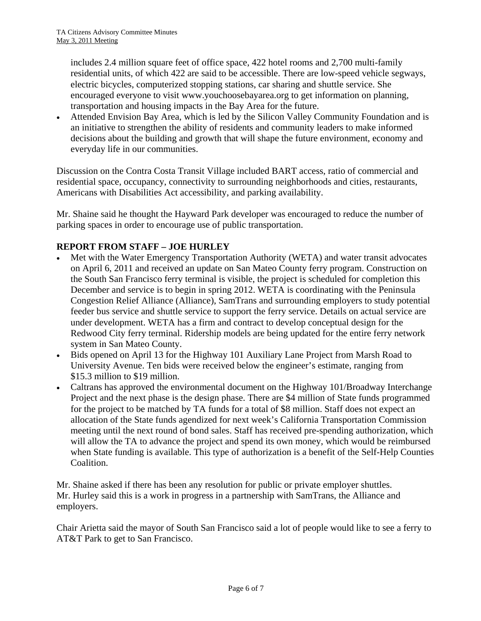includes 2.4 million square feet of office space, 422 hotel rooms and 2,700 multi-family residential units, of which 422 are said to be accessible. There are low-speed vehicle segways, electric bicycles, computerized stopping stations, car sharing and shuttle service. She encouraged everyone to visit [www.youchoosebayarea.org](http://www.youchoosebayarea.org/) to get information on planning, transportation and housing impacts in the Bay Area for the future.

• Attended Envision Bay Area, which is led by the Silicon Valley Community Foundation and is an initiative to strengthen the ability of residents and community leaders to make informed decisions about the building and growth that will shape the future environment, economy and everyday life in our communities.

Discussion on the Contra Costa Transit Village included BART access, ratio of commercial and residential space, occupancy, connectivity to surrounding neighborhoods and cities, restaurants, Americans with Disabilities Act accessibility, and parking availability.

Mr. Shaine said he thought the Hayward Park developer was encouraged to reduce the number of parking spaces in order to encourage use of public transportation.

## **REPORT FROM STAFF – JOE HURLEY**

- Met with the Water Emergency Transportation Authority (WETA) and water transit advocates on April 6, 2011 and received an update on San Mateo County ferry program. Construction on the South San Francisco ferry terminal is visible, the project is scheduled for completion this December and service is to begin in spring 2012. WETA is coordinating with the Peninsula Congestion Relief Alliance (Alliance), SamTrans and surrounding employers to study potential feeder bus service and shuttle service to support the ferry service. Details on actual service are under development. WETA has a firm and contract to develop conceptual design for the Redwood City ferry terminal. Ridership models are being updated for the entire ferry network system in San Mateo County.
- Bids opened on April 13 for the Highway 101 Auxiliary Lane Project from Marsh Road to University Avenue. Ten bids were received below the engineer's estimate, ranging from \$15.3 million to \$19 million.
- Caltrans has approved the environmental document on the Highway 101/Broadway Interchange Project and the next phase is the design phase. There are \$4 million of State funds programmed for the project to be matched by TA funds for a total of \$8 million. Staff does not expect an allocation of the State funds agendized for next week's California Transportation Commission meeting until the next round of bond sales. Staff has received pre-spending authorization, which will allow the TA to advance the project and spend its own money, which would be reimbursed when State funding is available. This type of authorization is a benefit of the Self-Help Counties Coalition.

Mr. Shaine asked if there has been any resolution for public or private employer shuttles. Mr. Hurley said this is a work in progress in a partnership with SamTrans, the Alliance and employers.

Chair Arietta said the mayor of South San Francisco said a lot of people would like to see a ferry to AT&T Park to get to San Francisco.